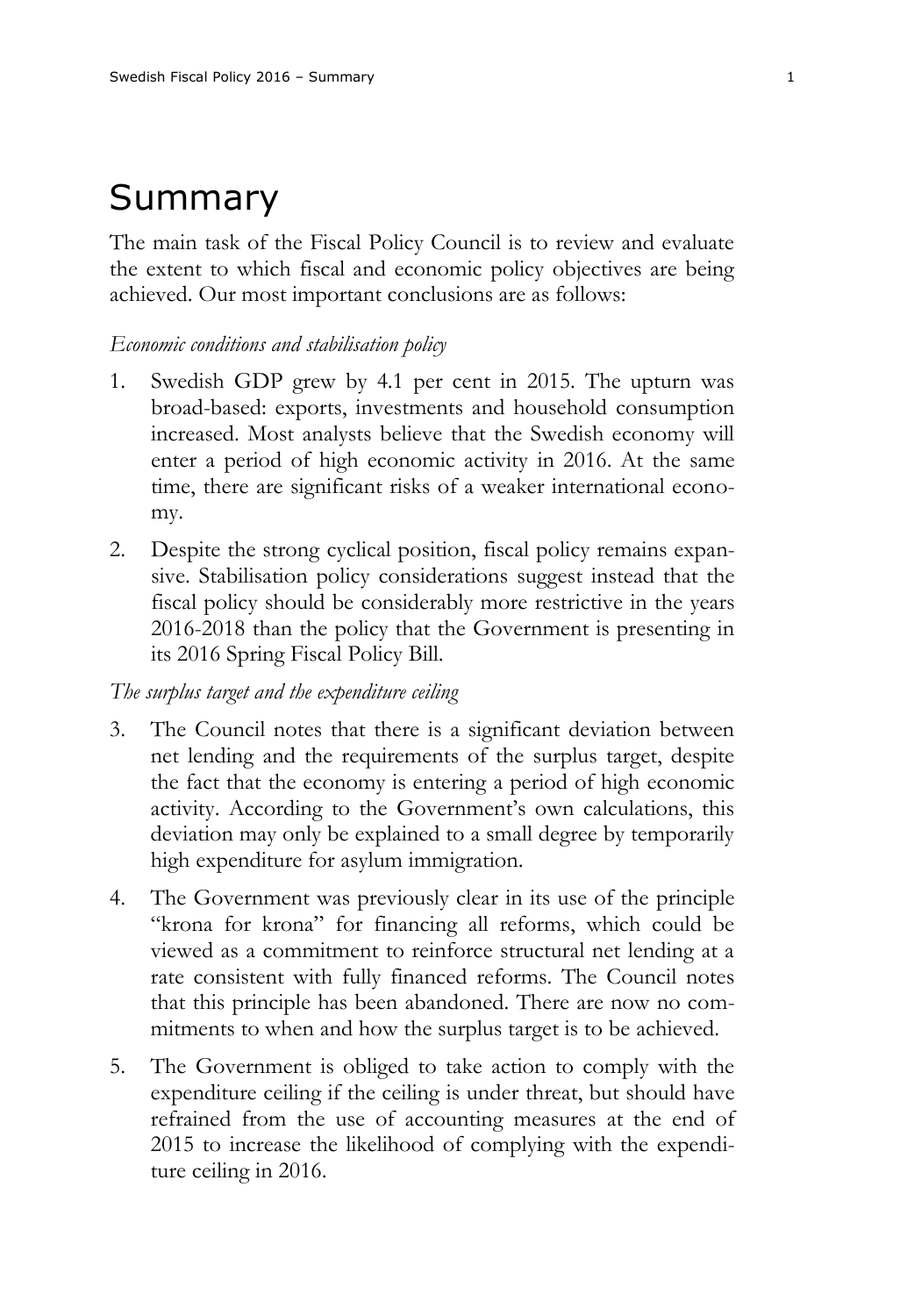# Summary

The main task of the Fiscal Policy Council is to review and evaluate the extent to which fiscal and economic policy objectives are being achieved. Our most important conclusions are as follows:

#### *Economic conditions and stabilisation policy*

- 1. Swedish GDP grew by 4.1 per cent in 2015. The upturn was broad-based: exports, investments and household consumption increased. Most analysts believe that the Swedish economy will enter a period of high economic activity in 2016. At the same time, there are significant risks of a weaker international economy.
- 2. Despite the strong cyclical position, fiscal policy remains expansive. Stabilisation policy considerations suggest instead that the fiscal policy should be considerably more restrictive in the years 2016-2018 than the policy that the Government is presenting in its 2016 Spring Fiscal Policy Bill.

# *The surplus target and the expenditure ceiling*

- 3. The Council notes that there is a significant deviation between net lending and the requirements of the surplus target, despite the fact that the economy is entering a period of high economic activity. According to the Government's own calculations, this deviation may only be explained to a small degree by temporarily high expenditure for asylum immigration.
- 4. The Government was previously clear in its use of the principle "krona for krona" for financing all reforms, which could be viewed as a commitment to reinforce structural net lending at a rate consistent with fully financed reforms. The Council notes that this principle has been abandoned. There are now no commitments to when and how the surplus target is to be achieved.
- 5. The Government is obliged to take action to comply with the expenditure ceiling if the ceiling is under threat, but should have refrained from the use of accounting measures at the end of 2015 to increase the likelihood of complying with the expenditure ceiling in 2016.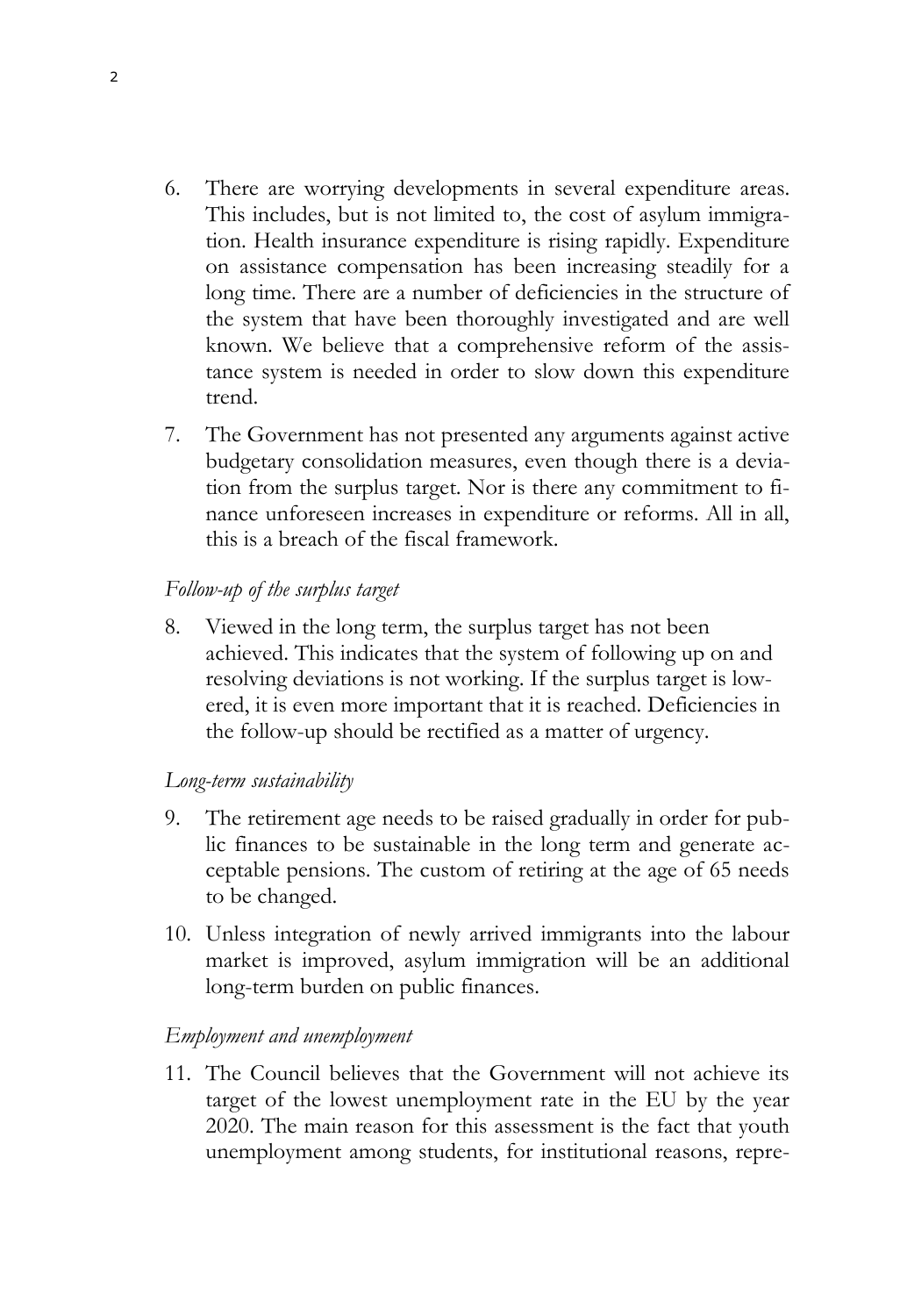- 6. There are worrying developments in several expenditure areas. This includes, but is not limited to, the cost of asylum immigration. Health insurance expenditure is rising rapidly. Expenditure on assistance compensation has been increasing steadily for a long time. There are a number of deficiencies in the structure of the system that have been thoroughly investigated and are well known. We believe that a comprehensive reform of the assistance system is needed in order to slow down this expenditure trend.
- 7. The Government has not presented any arguments against active budgetary consolidation measures, even though there is a deviation from the surplus target. Nor is there any commitment to finance unforeseen increases in expenditure or reforms. All in all, this is a breach of the fiscal framework.

# *Follow-up of the surplus target*

8. Viewed in the long term, the surplus target has not been achieved. This indicates that the system of following up on and resolving deviations is not working. If the surplus target is lowered, it is even more important that it is reached. Deficiencies in the follow-up should be rectified as a matter of urgency.

# *Long-term sustainability*

- 9. The retirement age needs to be raised gradually in order for public finances to be sustainable in the long term and generate acceptable pensions. The custom of retiring at the age of 65 needs to be changed.
- 10. Unless integration of newly arrived immigrants into the labour market is improved, asylum immigration will be an additional long-term burden on public finances.

# *Employment and unemployment*

11. The Council believes that the Government will not achieve its target of the lowest unemployment rate in the EU by the year 2020. The main reason for this assessment is the fact that youth unemployment among students, for institutional reasons, repre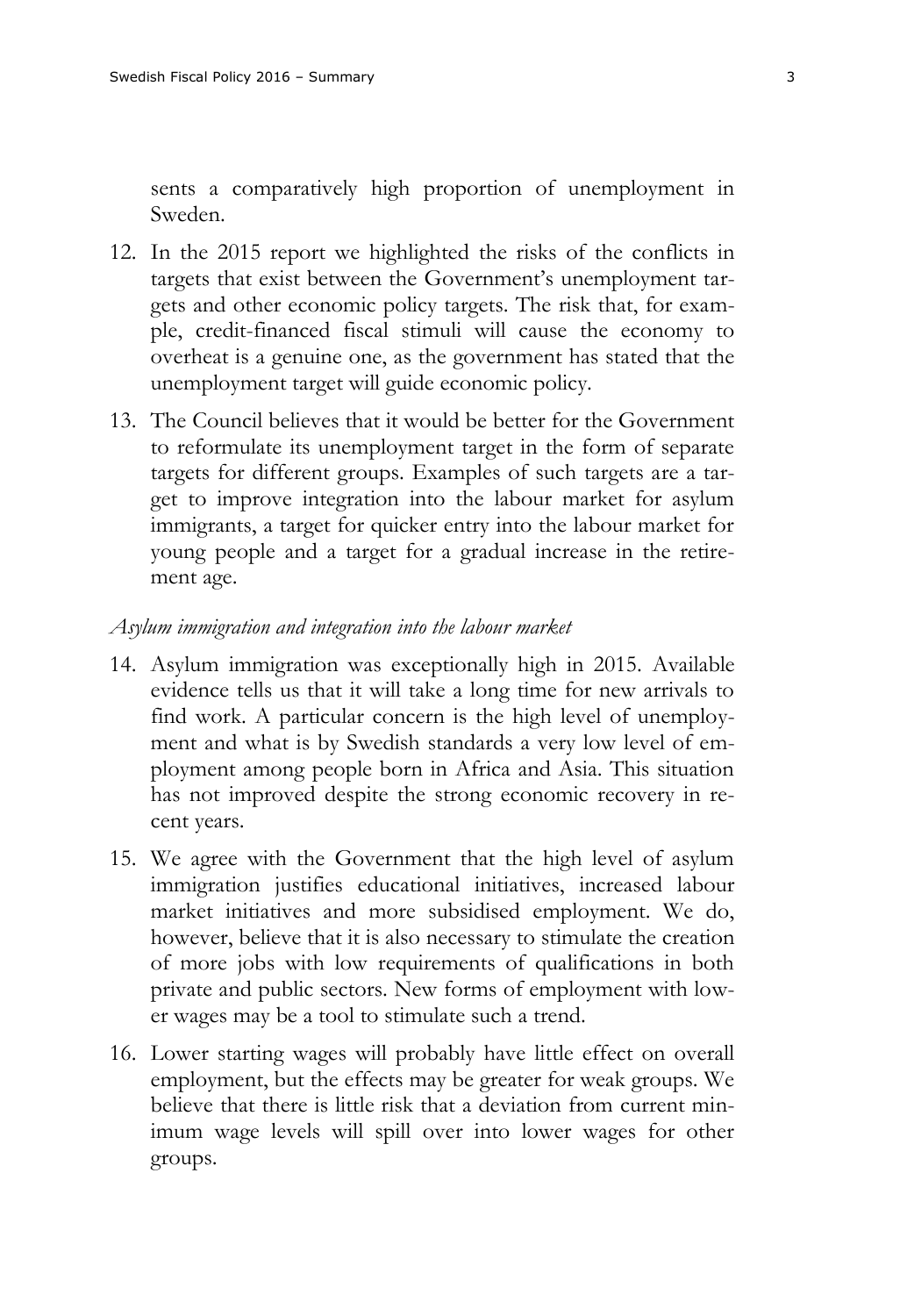sents a comparatively high proportion of unemployment in Sweden.

- 12. In the 2015 report we highlighted the risks of the conflicts in targets that exist between the Government's unemployment targets and other economic policy targets. The risk that, for example, credit-financed fiscal stimuli will cause the economy to overheat is a genuine one, as the government has stated that the unemployment target will guide economic policy.
- 13. The Council believes that it would be better for the Government to reformulate its unemployment target in the form of separate targets for different groups. Examples of such targets are a target to improve integration into the labour market for asylum immigrants, a target for quicker entry into the labour market for young people and a target for a gradual increase in the retirement age.

## *Asylum immigration and integration into the labour market*

- 14. Asylum immigration was exceptionally high in 2015. Available evidence tells us that it will take a long time for new arrivals to find work. A particular concern is the high level of unemployment and what is by Swedish standards a very low level of employment among people born in Africa and Asia. This situation has not improved despite the strong economic recovery in recent years.
- 15. We agree with the Government that the high level of asylum immigration justifies educational initiatives, increased labour market initiatives and more subsidised employment. We do, however, believe that it is also necessary to stimulate the creation of more jobs with low requirements of qualifications in both private and public sectors. New forms of employment with lower wages may be a tool to stimulate such a trend.
- 16. Lower starting wages will probably have little effect on overall employment, but the effects may be greater for weak groups. We believe that there is little risk that a deviation from current minimum wage levels will spill over into lower wages for other groups.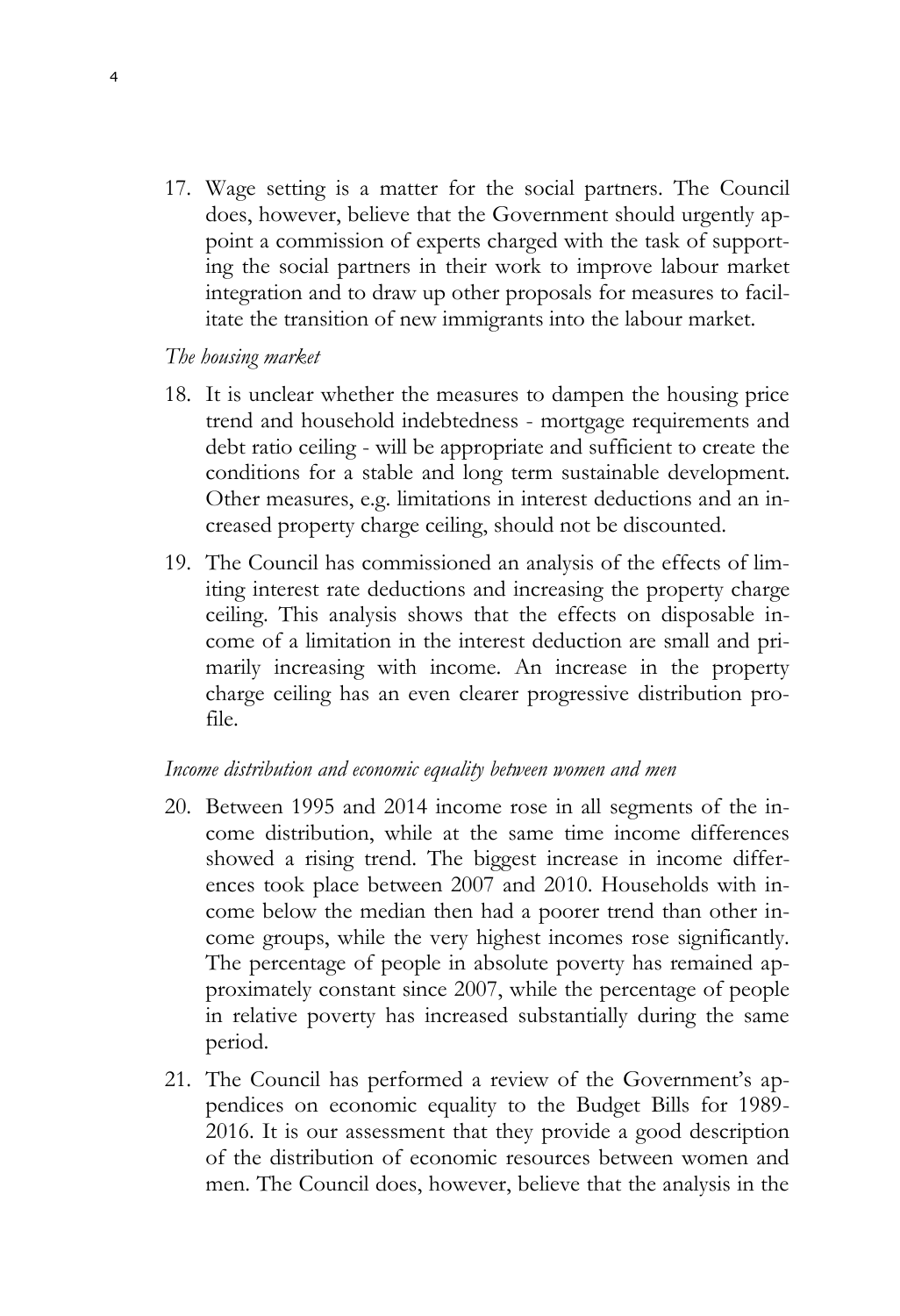17. Wage setting is a matter for the social partners. The Council does, however, believe that the Government should urgently appoint a commission of experts charged with the task of supporting the social partners in their work to improve labour market integration and to draw up other proposals for measures to facilitate the transition of new immigrants into the labour market.

## *The housing market*

- 18. It is unclear whether the measures to dampen the housing price trend and household indebtedness - mortgage requirements and debt ratio ceiling - will be appropriate and sufficient to create the conditions for a stable and long term sustainable development. Other measures, e.g. limitations in interest deductions and an increased property charge ceiling, should not be discounted.
- 19. The Council has commissioned an analysis of the effects of limiting interest rate deductions and increasing the property charge ceiling. This analysis shows that the effects on disposable income of a limitation in the interest deduction are small and primarily increasing with income. An increase in the property charge ceiling has an even clearer progressive distribution profile.

## *Income distribution and economic equality between women and men*

- 20. Between 1995 and 2014 income rose in all segments of the income distribution, while at the same time income differences showed a rising trend. The biggest increase in income differences took place between 2007 and 2010. Households with income below the median then had a poorer trend than other income groups, while the very highest incomes rose significantly. The percentage of people in absolute poverty has remained approximately constant since 2007, while the percentage of people in relative poverty has increased substantially during the same period.
- 21. The Council has performed a review of the Government's appendices on economic equality to the Budget Bills for 1989- 2016. It is our assessment that they provide a good description of the distribution of economic resources between women and men. The Council does, however, believe that the analysis in the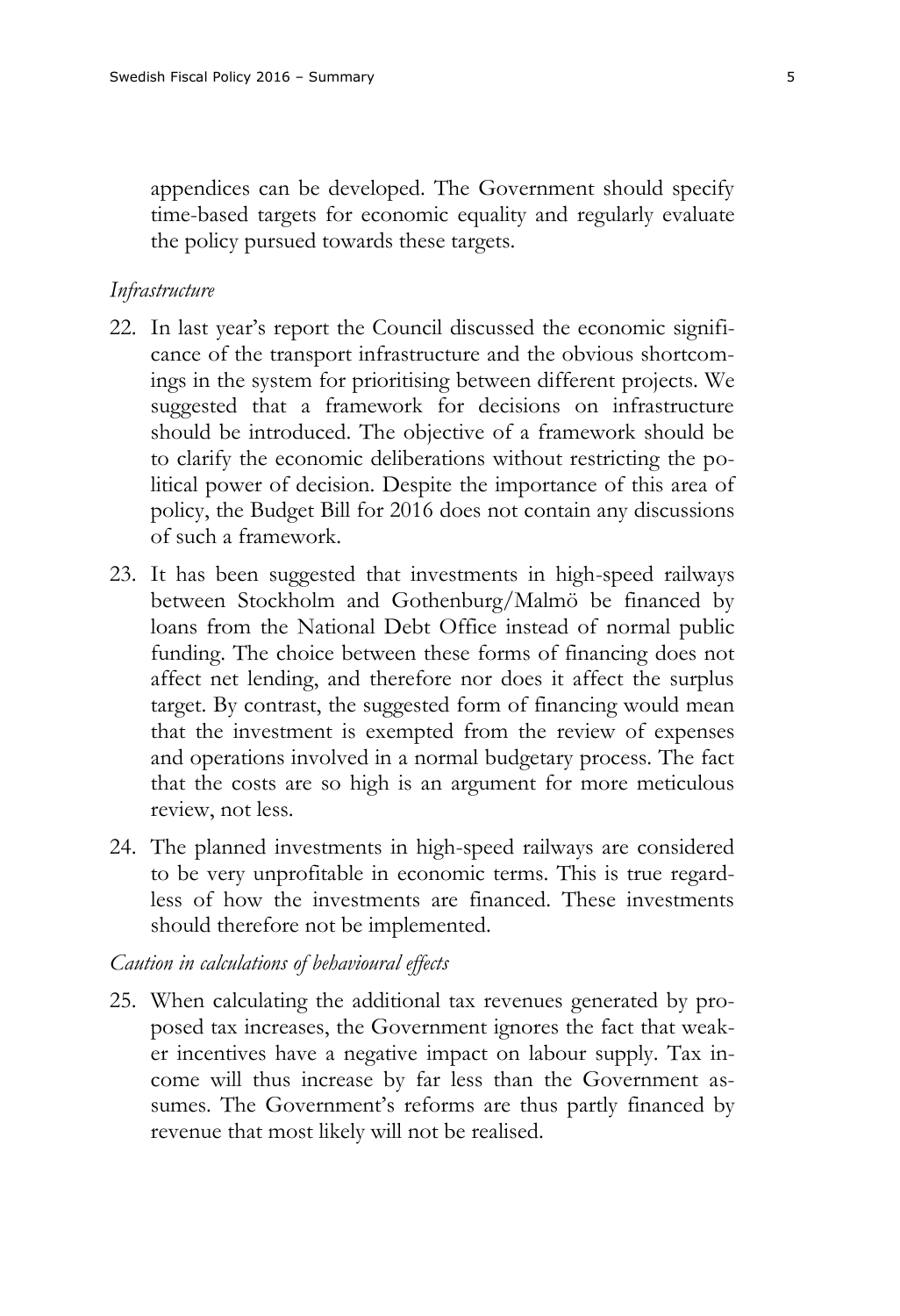appendices can be developed. The Government should specify time-based targets for economic equality and regularly evaluate the policy pursued towards these targets.

### *Infrastructure*

- 22. In last year's report the Council discussed the economic significance of the transport infrastructure and the obvious shortcomings in the system for prioritising between different projects. We suggested that a framework for decisions on infrastructure should be introduced. The objective of a framework should be to clarify the economic deliberations without restricting the political power of decision. Despite the importance of this area of policy, the Budget Bill for 2016 does not contain any discussions of such a framework.
- 23. It has been suggested that investments in high-speed railways between Stockholm and Gothenburg/Malmö be financed by loans from the National Debt Office instead of normal public funding. The choice between these forms of financing does not affect net lending, and therefore nor does it affect the surplus target. By contrast, the suggested form of financing would mean that the investment is exempted from the review of expenses and operations involved in a normal budgetary process. The fact that the costs are so high is an argument for more meticulous review, not less.
- 24. The planned investments in high-speed railways are considered to be very unprofitable in economic terms. This is true regardless of how the investments are financed. These investments should therefore not be implemented.

### *Caution in calculations of behavioural effects*

25. When calculating the additional tax revenues generated by proposed tax increases, the Government ignores the fact that weaker incentives have a negative impact on labour supply. Tax income will thus increase by far less than the Government assumes. The Government's reforms are thus partly financed by revenue that most likely will not be realised.